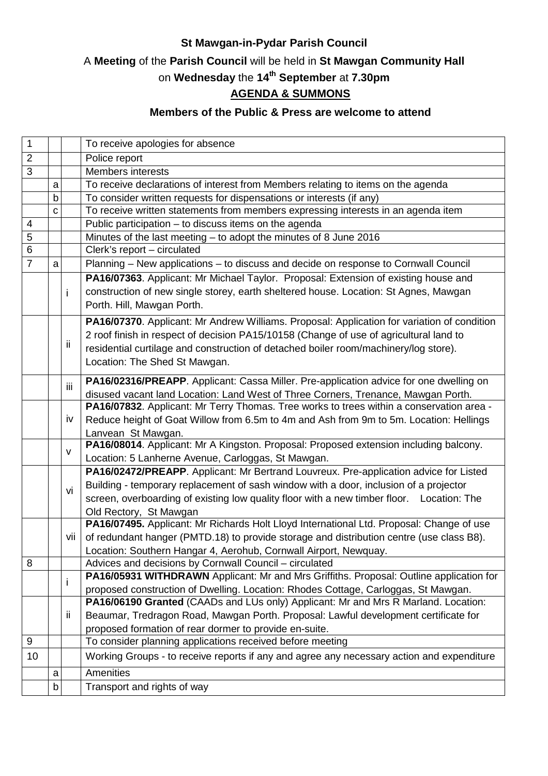## **St Mawgan-in-Pydar Parish Council**

# A **Meeting** of the **Parish Council** will be held in **St Mawgan Community Hall**

# on **Wednesday** the **14th September** at **7.30pm**

# **AGENDA & SUMMONS**

## **Members of the Public & Press are welcome to attend**

| $\mathbf{1}$   |             |     | To receive apologies for absence                                                            |
|----------------|-------------|-----|---------------------------------------------------------------------------------------------|
| $\overline{2}$ |             |     | Police report                                                                               |
| $\overline{3}$ |             |     | Members interests                                                                           |
|                | a           |     | To receive declarations of interest from Members relating to items on the agenda            |
|                | $\mathsf b$ |     | To consider written requests for dispensations or interests (if any)                        |
|                | C           |     | To receive written statements from members expressing interests in an agenda item           |
| 4              |             |     | Public participation - to discuss items on the agenda                                       |
| 5              |             |     | Minutes of the last meeting $-$ to adopt the minutes of 8 June 2016                         |
| $\overline{6}$ |             |     | Clerk's report - circulated                                                                 |
| $\overline{7}$ | a           |     | Planning - New applications - to discuss and decide on response to Cornwall Council         |
|                |             |     | PA16/07363. Applicant: Mr Michael Taylor. Proposal: Extension of existing house and         |
|                |             | i   | construction of new single storey, earth sheltered house. Location: St Agnes, Mawgan        |
|                |             |     | Porth. Hill, Mawgan Porth.                                                                  |
|                |             |     | PA16/07370. Applicant: Mr Andrew Williams. Proposal: Application for variation of condition |
|                |             | ij. | 2 roof finish in respect of decision PA15/10158 (Change of use of agricultural land to      |
|                |             |     | residential curtilage and construction of detached boiler room/machinery/log store).        |
|                |             |     | Location: The Shed St Mawgan.                                                               |
|                |             |     |                                                                                             |
|                |             | iii | PA16/02316/PREAPP. Applicant: Cassa Miller. Pre-application advice for one dwelling on      |
|                |             |     | disused vacant land Location: Land West of Three Corners, Trenance, Mawgan Porth.           |
|                |             | iv  | PA16/07832. Applicant: Mr Terry Thomas. Tree works to trees within a conservation area -    |
|                |             |     | Reduce height of Goat Willow from 6.5m to 4m and Ash from 9m to 5m. Location: Hellings      |
|                |             |     | Lanvean St Mawgan.                                                                          |
|                |             | v   | PA16/08014. Applicant: Mr A Kingston. Proposal: Proposed extension including balcony.       |
|                |             |     | Location: 5 Lanherne Avenue, Carloggas, St Mawgan.                                          |
|                |             |     | PA16/02472/PREAPP. Applicant: Mr Bertrand Louvreux. Pre-application advice for Listed       |
|                |             | vi  | Building - temporary replacement of sash window with a door, inclusion of a projector       |
|                |             |     | screen, overboarding of existing low quality floor with a new timber floor. Location: The   |
|                |             |     | Old Rectory, St Mawgan                                                                      |
|                |             |     | PA16/07495. Applicant: Mr Richards Holt Lloyd International Ltd. Proposal: Change of use    |
|                |             | vii | of redundant hanger (PMTD.18) to provide storage and distribution centre (use class B8).    |
|                |             |     | Location: Southern Hangar 4, Aerohub, Cornwall Airport, Newquay.                            |
| 8              |             |     | Advices and decisions by Cornwall Council - circulated                                      |
|                |             | i.  | PA16/05931 WITHDRAWN Applicant: Mr and Mrs Griffiths. Proposal: Outline application for     |
|                |             |     | proposed construction of Dwelling. Location: Rhodes Cottage, Carloggas, St Mawgan.          |
|                |             |     | PA16/06190 Granted (CAADs and LUs only) Applicant: Mr and Mrs R Marland. Location:          |
|                |             | ij. | Beaumar, Tredragon Road, Mawgan Porth. Proposal: Lawful development certificate for         |
|                |             |     | proposed formation of rear dormer to provide en-suite.                                      |
| 9              |             |     | To consider planning applications received before meeting                                   |
| 10             |             |     | Working Groups - to receive reports if any and agree any necessary action and expenditure   |
|                | a           |     | <b>Amenities</b>                                                                            |
|                | b           |     | Transport and rights of way                                                                 |